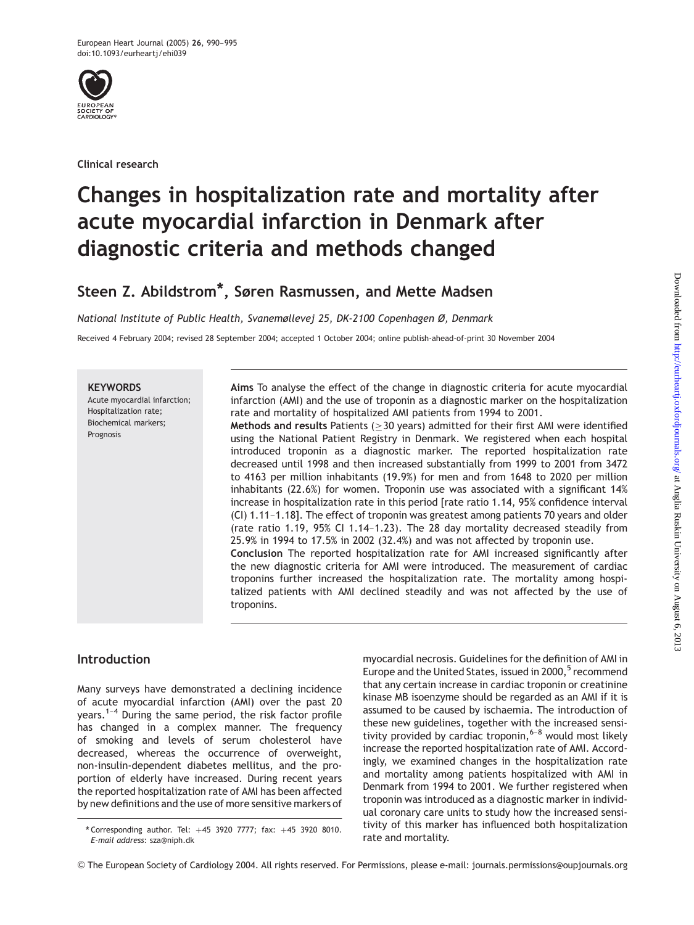

Clinical research

# Changes in hospitalization rate and mortality after acute myocardial infarction in Denmark after diagnostic criteria and methods changed

# Steen Z. Abildstrom\*, Søren Rasmussen, and Mette Madsen

National Institute of Public Health, Svanemøllevej 25, DK-2100 Copenhagen Ø, Denmark

Received 4 February 2004; revised 28 September 2004; accepted 1 October 2004; online publish-ahead-of-print 30 November 2004

#### **KEYWORDS**

Acute myocardial infarction; Hospitalization rate; Biochemical markers; Prognosis

Aims To analyse the effect of the change in diagnostic criteria for acute myocardial infarction (AMI) and the use of troponin as a diagnostic marker on the hospitalization rate and mortality of hospitalized AMI patients from 1994 to 2001.

Methods and results Patients ( $\geq$  30 years) admitted for their first AMI were identified using the National Patient Registry in Denmark. We registered when each hospital introduced troponin as a diagnostic marker. The reported hospitalization rate decreased until 1998 and then increased substantially from 1999 to 2001 from 3472 to 4163 per million inhabitants (19.9%) for men and from 1648 to 2020 per million inhabitants (22.6%) for women. Troponin use was associated with a significant 14% increase in hospitalization rate in this period [rate ratio 1.14, 95% confidence interval (CI) 1.11–1.18]. The effect of troponin was greatest among patients 70 years and older (rate ratio 1.19, 95% CI 1.14–1.23). The 28 day mortality decreased steadily from 25.9% in 1994 to 17.5% in 2002 (32.4%) and was not affected by troponin use. Conclusion The reported hospitalization rate for AMI increased significantly after the new diagnostic criteria for AMI were introduced. The measurement of cardiac troponins further increased the hospitalization rate. The mortality among hospitalized patients with AMI declined steadily and was not affected by the use of troponins.

# Introduction

Many surveys have demonstrated a declining incidence of acute myocardial infarction (AMI) over the past 20 years.1–4 During the same period, the risk factor profile has changed in a complex manner. The frequency of smoking and levels of serum cholesterol have decreased, whereas the occurrence of overweight, non-insulin-dependent diabetes mellitus, and the proportion of elderly have increased. During recent years the reported hospitalization rate of AMI has been affected by new definitions and the use of more sensitive markers of myocardial necrosis. Guidelines for the definition of AMI in Europe and the United States, issued in 2000,<sup>5</sup> recommend that any certain increase in cardiac troponin or creatinine kinase MB isoenzyme should be regarded as an AMI if it is assumed to be caused by ischaemia. The introduction of these new guidelines, together with the increased sensitivity provided by cardiac troponin,  $6-8$  would most likely increase the reported hospitalization rate of AMI. Accordingly, we examined changes in the hospitalization rate and mortality among patients hospitalized with AMI in Denmark from 1994 to 2001. We further registered when troponin was introduced as a diagnostic marker in individual coronary care units to study how the increased sensitivity of this marker has influenced both hospitalization rate and mortality.

<sup>\*</sup> Corresponding author. Tel:  $+45$  3920 7777; fax:  $+45$  3920 8010. E-mail address: sza@niph.dk

*<sup>&</sup>amp;* The European Society of Cardiology 2004. All rights reserved. For Permissions, please e-mail: journals.permissions@oupjournals.org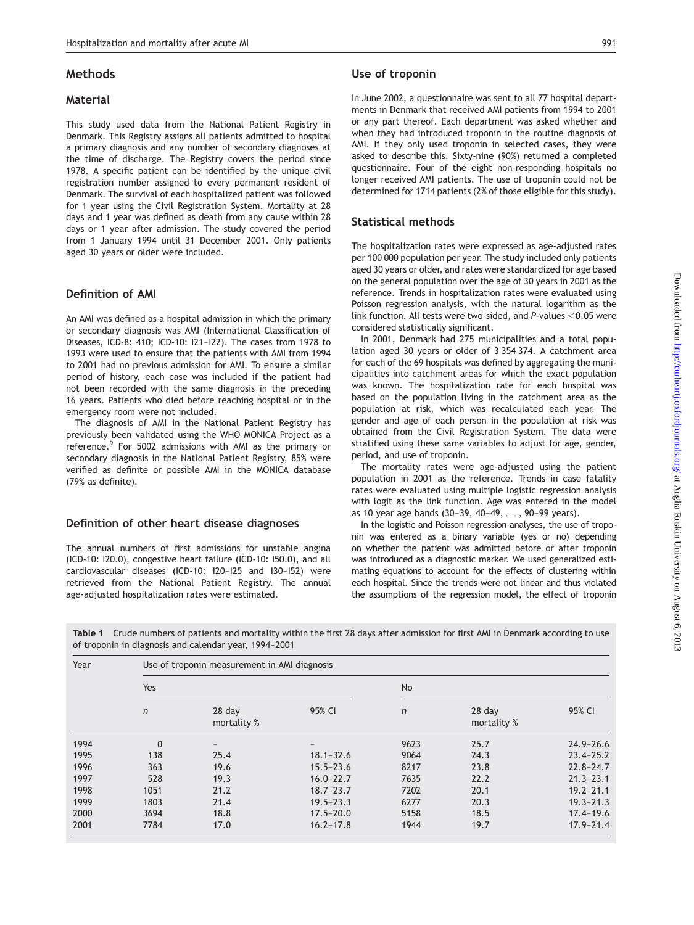## Methods

#### Material

This study used data from the National Patient Registry in Denmark. This Registry assigns all patients admitted to hospital a primary diagnosis and any number of secondary diagnoses at the time of discharge. The Registry covers the period since 1978. A specific patient can be identified by the unique civil registration number assigned to every permanent resident of Denmark. The survival of each hospitalized patient was followed for 1 year using the Civil Registration System. Mortality at 28 days and 1 year was defined as death from any cause within 28 days or 1 year after admission. The study covered the period from 1 January 1994 until 31 December 2001. Only patients aged 30 years or older were included.

## Definition of AMI

An AMI was defined as a hospital admission in which the primary or secondary diagnosis was AMI (International Classification of Diseases, ICD-8: 410; ICD-10: I21–I22). The cases from 1978 to 1993 were used to ensure that the patients with AMI from 1994 to 2001 had no previous admission for AMI. To ensure a similar period of history, each case was included if the patient had not been recorded with the same diagnosis in the preceding 16 years. Patients who died before reaching hospital or in the emergency room were not included.

The diagnosis of AMI in the National Patient Registry has previously been validated using the WHO MONICA Project as a reference.<sup>9</sup> For 5002 admissions with AMI as the primary or secondary diagnosis in the National Patient Registry, 85% were verified as definite or possible AMI in the MONICA database (79% as definite).

#### Definition of other heart disease diagnoses

The annual numbers of first admissions for unstable angina (ICD-10: I20.0), congestive heart failure (ICD-10: I50.0), and all cardiovascular diseases (ICD-10: I20–I25 and I30–I52) were retrieved from the National Patient Registry. The annual age-adjusted hospitalization rates were estimated.

### Use of troponin

In June 2002, a questionnaire was sent to all 77 hospital departments in Denmark that received AMI patients from 1994 to 2001 or any part thereof. Each department was asked whether and when they had introduced troponin in the routine diagnosis of AMI. If they only used troponin in selected cases, they were asked to describe this. Sixty-nine (90%) returned a completed questionnaire. Four of the eight non-responding hospitals no longer received AMI patients. The use of troponin could not be determined for 1714 patients (2% of those eligible for this study).

## Statistical methods

The hospitalization rates were expressed as age-adjusted rates per 100 000 population per year. The study included only patients aged 30 years or older, and rates were standardized for age based on the general population over the age of 30 years in 2001 as the reference. Trends in hospitalization rates were evaluated using Poisson regression analysis, with the natural logarithm as the link function. All tests were two-sided, and P-values  $<$  0.05 were considered statistically significant.

In 2001, Denmark had 275 municipalities and a total population aged 30 years or older of 3 354 374. A catchment area for each of the 69 hospitals was defined by aggregating the municipalities into catchment areas for which the exact population was known. The hospitalization rate for each hospital was based on the population living in the catchment area as the population at risk, which was recalculated each year. The gender and age of each person in the population at risk was obtained from the Civil Registration System. The data were stratified using these same variables to adjust for age, gender, period, and use of troponin.

The mortality rates were age-adjusted using the patient population in 2001 as the reference. Trends in case–fatality rates were evaluated using multiple logistic regression analysis with logit as the link function. Age was entered in the model as 10 year age bands (30–39, 40–49, ... , 90–99 years).

In the logistic and Poisson regression analyses, the use of troponin was entered as a binary variable (yes or no) depending on whether the patient was admitted before or after troponin was introduced as a diagnostic marker. We used generalized estimating equations to account for the effects of clustering within each hospital. Since the trends were not linear and thus violated the assumptions of the regression model, the effect of troponin

Table 1 Crude numbers of patients and mortality within the first 28 days after admission for first AMI in Denmark according to use of troponin in diagnosis and calendar year, 1994–2001

| Year | Use of troponin measurement in AMI diagnosis |                         |               |              |                       |               |  |  |  |
|------|----------------------------------------------|-------------------------|---------------|--------------|-----------------------|---------------|--|--|--|
|      | Yes                                          |                         |               | No           |                       |               |  |  |  |
|      | $\mathsf{n}$                                 | $28$ day<br>mortality % | 95% CI        | $\mathsf{n}$ | 28 day<br>mortality % | 95% CI        |  |  |  |
| 1994 | 0                                            |                         |               | 9623         | 25.7                  | $24.9 - 26.6$ |  |  |  |
| 1995 | 138                                          | 25.4                    | $18.1 - 32.6$ | 9064         | 24.3                  | $23.4 - 25.2$ |  |  |  |
| 1996 | 363                                          | 19.6                    | $15.5 - 23.6$ | 8217         | 23.8                  | $22.8 - 24.7$ |  |  |  |
| 1997 | 528                                          | 19.3                    | $16.0 - 22.7$ | 7635         | 22.2                  | $21.3 - 23.1$ |  |  |  |
| 1998 | 1051                                         | 21.2                    | $18.7 - 23.7$ | 7202         | 20.1                  | $19.2 - 21.1$ |  |  |  |
| 1999 | 1803                                         | 21.4                    | $19.5 - 23.3$ | 6277         | 20.3                  | $19.3 - 21.3$ |  |  |  |
| 2000 | 3694                                         | 18.8                    | $17.5 - 20.0$ | 5158         | 18.5                  | $17.4 - 19.6$ |  |  |  |
| 2001 | 7784                                         | 17.0                    | $16.2 - 17.8$ | 1944         | 19.7                  | $17.9 - 21.4$ |  |  |  |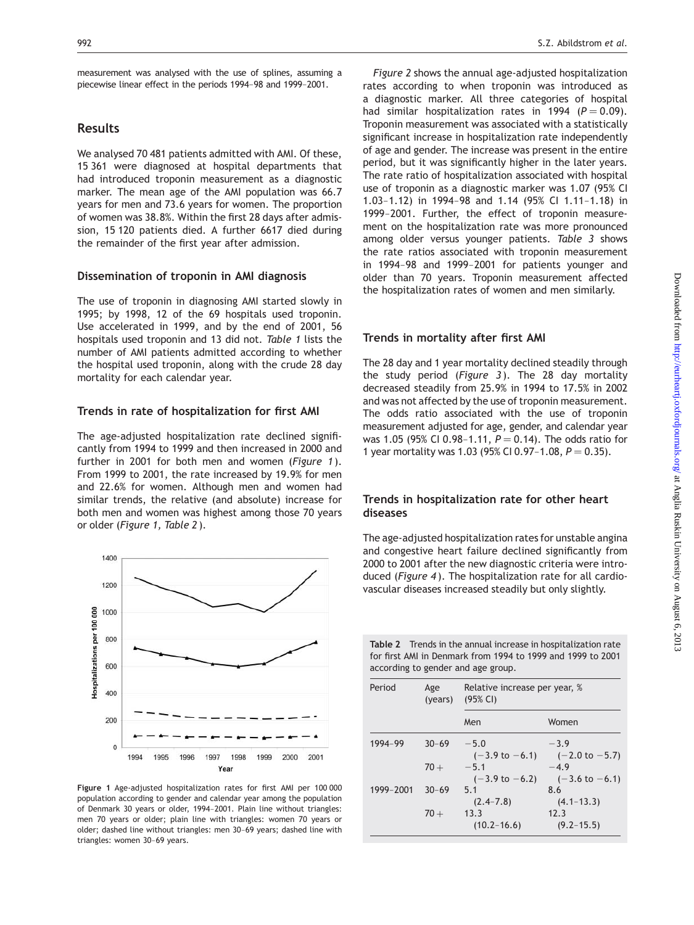measurement was analysed with the use of splines, assuming a piecewise linear effect in the periods 1994–98 and 1999–2001.

# Results

We analysed 70 481 patients admitted with AMI. Of these, 15 361 were diagnosed at hospital departments that had introduced troponin measurement as a diagnostic marker. The mean age of the AMI population was 66.7 years for men and 73.6 years for women. The proportion of women was 38.8%. Within the first 28 days after admission, 15 120 patients died. A further 6617 died during the remainder of the first year after admission.

# Dissemination of troponin in AMI diagnosis

The use of troponin in diagnosing AMI started slowly in 1995; by 1998, 12 of the 69 hospitals used troponin. Use accelerated in 1999, and by the end of 2001, 56 hospitals used troponin and 13 did not. Table 1 lists the number of AMI patients admitted according to whether the hospital used troponin, along with the crude 28 day mortality for each calendar year.

# Trends in rate of hospitalization for first AMI

The age-adjusted hospitalization rate declined significantly from 1994 to 1999 and then increased in 2000 and further in 2001 for both men and women (Figure 1). From 1999 to 2001, the rate increased by 19.9% for men and 22.6% for women. Although men and women had similar trends, the relative (and absolute) increase for both men and women was highest among those 70 years or older (Figure 1, Table 2 ).



Figure 1 Age-adjusted hospitalization rates for first AMI per 100 000 population according to gender and calendar year among the population of Denmark 30 years or older, 1994–2001. Plain line without triangles: men 70 years or older; plain line with triangles: women 70 years or older; dashed line without triangles: men 30–69 years; dashed line with triangles: women 30–69 years.

Figure 2 shows the annual age-adjusted hospitalization rates according to when troponin was introduced as a diagnostic marker. All three categories of hospital had similar hospitalization rates in 1994 ( $P = 0.09$ ). Troponin measurement was associated with a statistically significant increase in hospitalization rate independently of age and gender. The increase was present in the entire period, but it was significantly higher in the later years. The rate ratio of hospitalization associated with hospital use of troponin as a diagnostic marker was 1.07 (95% CI 1.03–1.12) in 1994–98 and 1.14 (95% CI 1.11–1.18) in 1999–2001. Further, the effect of troponin measurement on the hospitalization rate was more pronounced among older versus younger patients. Table 3 shows the rate ratios associated with troponin measurement in 1994–98 and 1999–2001 for patients younger and older than 70 years. Troponin measurement affected the hospitalization rates of women and men similarly.

# Trends in mortality after first AMI

The 28 day and 1 year mortality declined steadily through the study period (Figure 3). The 28 day mortality decreased steadily from 25.9% in 1994 to 17.5% in 2002 and was not affected by the use of troponin measurement. The odds ratio associated with the use of troponin measurement adjusted for age, gender, and calendar year was 1.05 (95% CI 0.98-1.11,  $P = 0.14$ ). The odds ratio for 1 year mortality was 1.03 (95% CI 0.97-1.08,  $P = 0.35$ ).

# Trends in hospitalization rate for other heart diseases

The age-adjusted hospitalization rates for unstable angina and congestive heart failure declined significantly from 2000 to 2001 after the new diagnostic criteria were introduced (Figure 4). The hospitalization rate for all cardiovascular diseases increased steadily but only slightly.

Table 2 Trends in the annual increase in hospitalization rate for first AMI in Denmark from 1994 to 1999 and 1999 to 2001

according to gender and age group.

| $\alpha$ and $\alpha$ and $\alpha$ and $\alpha$ and $\alpha$ and $\alpha$ and $\alpha$ |                |                                           |                                     |  |  |  |
|----------------------------------------------------------------------------------------|----------------|-------------------------------------------|-------------------------------------|--|--|--|
| Period                                                                                 | Age<br>(years) | Relative increase per year, %<br>(95% CI) |                                     |  |  |  |
|                                                                                        |                | Men                                       | Women                               |  |  |  |
| 1994-99                                                                                | $30 - 69$      | $-5.0$<br>$(-3.9 \text{ to } -6.1)$       | $-3.9$<br>$(-2.0 \text{ to } -5.7)$ |  |  |  |
|                                                                                        | $70 +$         | $-5.1$<br>$(-3.9 \text{ to } -6.2)$       | $-49$<br>$(-3.6 \text{ to } -6.1)$  |  |  |  |
| 1999-2001                                                                              | $30 - 69$      | 51<br>$(2.4 - 7.8)$                       | 8.6<br>$(4.1 - 13.3)$               |  |  |  |
|                                                                                        | $70 +$         | 13.3<br>$(10.2 - 16.6)$                   | 12.3<br>$(9.2 - 15.5)$              |  |  |  |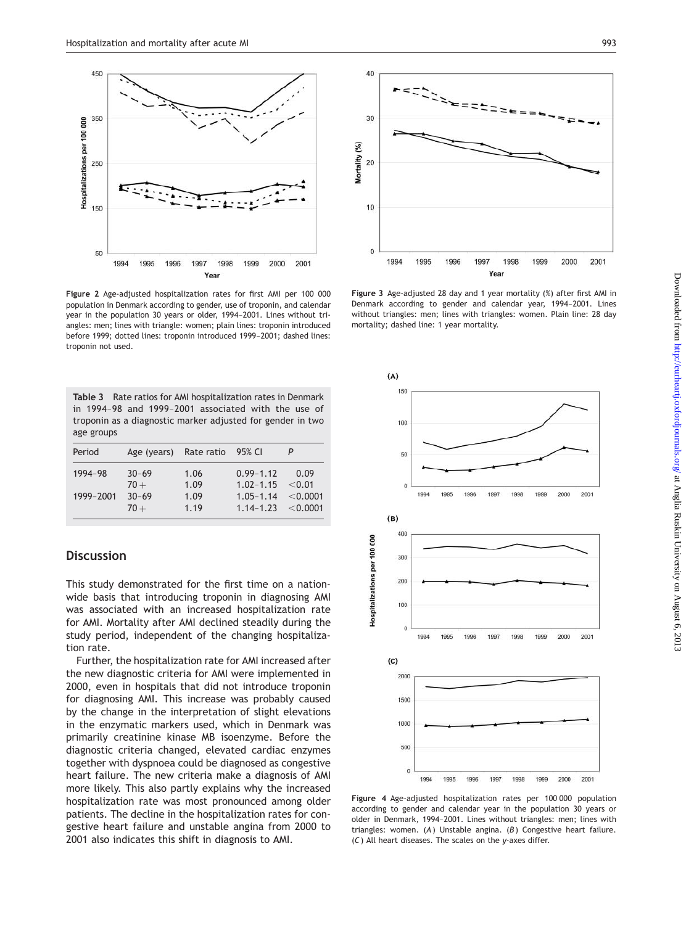

Figure 2 Age-adjusted hospitalization rates for first AMI per 100 000 population in Denmark according to gender, use of troponin, and calendar year in the population 30 years or older, 1994–2001. Lines without triangles: men; lines with triangle: women; plain lines: troponin introduced before 1999; dotted lines: troponin introduced 1999–2001; dashed lines: troponin not used.

|            |  |  | <b>Table 3</b> Rate ratios for AMI hospitalization rates in Denmark |  |  |
|------------|--|--|---------------------------------------------------------------------|--|--|
|            |  |  | in 1994-98 and 1999-2001 associated with the use of                 |  |  |
|            |  |  | troponin as a diagnostic marker adjusted for gender in two          |  |  |
| age groups |  |  |                                                                     |  |  |

| Period               | Age (years) Rate ratio 95% CI              |                              |                                                                                                 |      |
|----------------------|--------------------------------------------|------------------------------|-------------------------------------------------------------------------------------------------|------|
| 1994-98<br>1999-2001 | $30 - 69$<br>$70 +$<br>$30 - 69$<br>$70 +$ | 1.06<br>1.09<br>1.09<br>1.19 | $0.99 - 1.12$<br>$1.02 - 1.15 \le 0.01$<br>$1.05 - 1.14 \le 0.0001$<br>$1.14 - 1.23 \le 0.0001$ | 0.09 |

# **Discussion**

This study demonstrated for the first time on a nationwide basis that introducing troponin in diagnosing AMI was associated with an increased hospitalization rate for AMI. Mortality after AMI declined steadily during the study period, independent of the changing hospitalization rate.

Further, the hospitalization rate for AMI increased after the new diagnostic criteria for AMI were implemented in 2000, even in hospitals that did not introduce troponin for diagnosing AMI. This increase was probably caused by the change in the interpretation of slight elevations in the enzymatic markers used, which in Denmark was primarily creatinine kinase MB isoenzyme. Before the diagnostic criteria changed, elevated cardiac enzymes together with dyspnoea could be diagnosed as congestive heart failure. The new criteria make a diagnosis of AMI more likely. This also partly explains why the increased hospitalization rate was most pronounced among older patients. The decline in the hospitalization rates for congestive heart failure and unstable angina from 2000 to 2001 also indicates this shift in diagnosis to AMI.



Figure 3 Age-adjusted 28 day and 1 year mortality (%) after first AMI in Denmark according to gender and calendar year, 1994–2001. Lines without triangles: men; lines with triangles: women. Plain line: 28 day mortality; dashed line: 1 year mortality.



Figure 4 Age-adjusted hospitalization rates per 100 000 population according to gender and calendar year in the population 30 years or older in Denmark, 1994–2001. Lines without triangles: men; lines with triangles: women.  $(A)$  Unstable angina.  $(B)$  Congestive heart failure. (C) All heart diseases. The scales on the y-axes differ.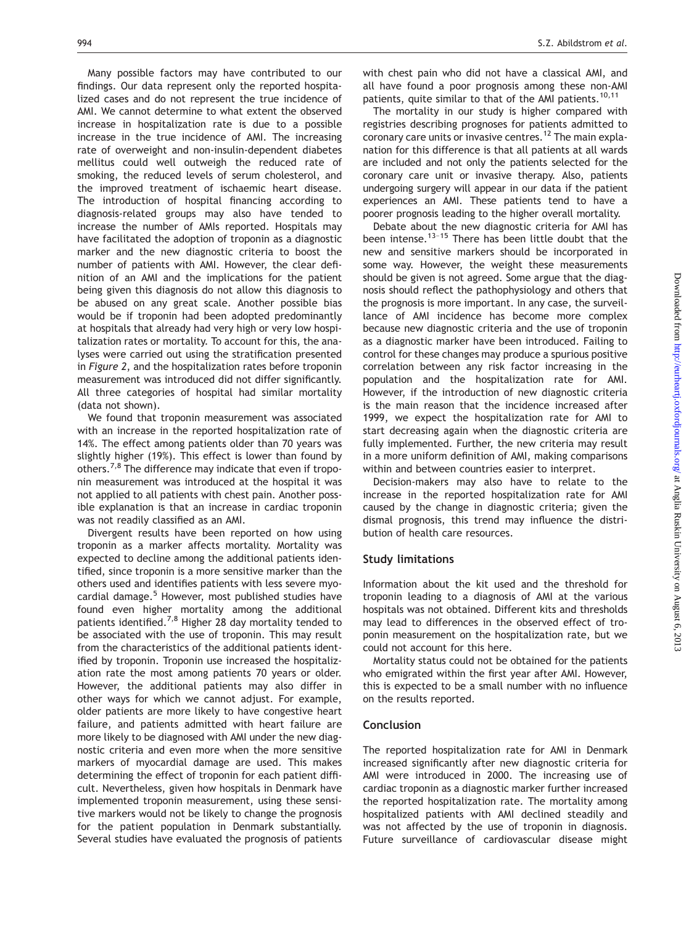Many possible factors may have contributed to our findings. Our data represent only the reported hospitalized cases and do not represent the true incidence of AMI. We cannot determine to what extent the observed increase in hospitalization rate is due to a possible increase in the true incidence of AMI. The increasing rate of overweight and non-insulin-dependent diabetes mellitus could well outweigh the reduced rate of smoking, the reduced levels of serum cholesterol, and the improved treatment of ischaemic heart disease. The introduction of hospital financing according to diagnosis-related groups may also have tended to increase the number of AMIs reported. Hospitals may have facilitated the adoption of troponin as a diagnostic marker and the new diagnostic criteria to boost the number of patients with AMI. However, the clear definition of an AMI and the implications for the patient being given this diagnosis do not allow this diagnosis to be abused on any great scale. Another possible bias would be if troponin had been adopted predominantly at hospitals that already had very high or very low hospitalization rates or mortality. To account for this, the analyses were carried out using the stratification presented in Figure 2, and the hospitalization rates before troponin measurement was introduced did not differ significantly. All three categories of hospital had similar mortality (data not shown).

We found that troponin measurement was associated with an increase in the reported hospitalization rate of 14%. The effect among patients older than 70 years was slightly higher (19%). This effect is lower than found by others.<sup>7,8</sup> The difference may indicate that even if troponin measurement was introduced at the hospital it was not applied to all patients with chest pain. Another possible explanation is that an increase in cardiac troponin was not readily classified as an AMI.

Divergent results have been reported on how using troponin as a marker affects mortality. Mortality was expected to decline among the additional patients identified, since troponin is a more sensitive marker than the others used and identifies patients with less severe myocardial damage.<sup>5</sup> However, most published studies have found even higher mortality among the additional patients identified.<sup>7,8</sup> Higher 28 day mortality tended to be associated with the use of troponin. This may result from the characteristics of the additional patients identified by troponin. Troponin use increased the hospitalization rate the most among patients 70 years or older. However, the additional patients may also differ in other ways for which we cannot adjust. For example, older patients are more likely to have congestive heart failure, and patients admitted with heart failure are more likely to be diagnosed with AMI under the new diagnostic criteria and even more when the more sensitive markers of myocardial damage are used. This makes determining the effect of troponin for each patient difficult. Nevertheless, given how hospitals in Denmark have implemented troponin measurement, using these sensitive markers would not be likely to change the prognosis for the patient population in Denmark substantially. Several studies have evaluated the prognosis of patients with chest pain who did not have a classical AMI, and all have found a poor prognosis among these non-AMI patients, quite similar to that of the AMI patients.<sup>10,11</sup>

The mortality in our study is higher compared with registries describing prognoses for patients admitted to coronary care units or invasive centres.<sup>12</sup> The main explanation for this difference is that all patients at all wards are included and not only the patients selected for the coronary care unit or invasive therapy. Also, patients undergoing surgery will appear in our data if the patient experiences an AMI. These patients tend to have a poorer prognosis leading to the higher overall mortality.

Debate about the new diagnostic criteria for AMI has been intense.<sup>13-15</sup> There has been little doubt that the new and sensitive markers should be incorporated in some way. However, the weight these measurements should be given is not agreed. Some argue that the diagnosis should reflect the pathophysiology and others that the prognosis is more important. In any case, the surveillance of AMI incidence has become more complex because new diagnostic criteria and the use of troponin as a diagnostic marker have been introduced. Failing to control for these changes may produce a spurious positive correlation between any risk factor increasing in the population and the hospitalization rate for AMI. However, if the introduction of new diagnostic criteria is the main reason that the incidence increased after 1999, we expect the hospitalization rate for AMI to start decreasing again when the diagnostic criteria are fully implemented. Further, the new criteria may result in a more uniform definition of AMI, making comparisons within and between countries easier to interpret.

Decision-makers may also have to relate to the increase in the reported hospitalization rate for AMI caused by the change in diagnostic criteria; given the dismal prognosis, this trend may influence the distribution of health care resources.

#### Study limitations

Information about the kit used and the threshold for troponin leading to a diagnosis of AMI at the various hospitals was not obtained. Different kits and thresholds may lead to differences in the observed effect of troponin measurement on the hospitalization rate, but we could not account for this here.

Mortality status could not be obtained for the patients who emigrated within the first year after AMI. However, this is expected to be a small number with no influence on the results reported.

#### **Conclusion**

The reported hospitalization rate for AMI in Denmark increased significantly after new diagnostic criteria for AMI were introduced in 2000. The increasing use of cardiac troponin as a diagnostic marker further increased the reported hospitalization rate. The mortality among hospitalized patients with AMI declined steadily and was not affected by the use of troponin in diagnosis. Future surveillance of cardiovascular disease might